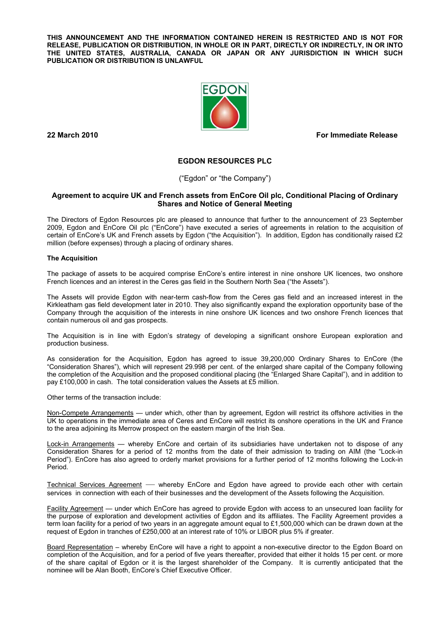**THIS ANNOUNCEMENT AND THE INFORMATION CONTAINED HEREIN IS RESTRICTED AND IS NOT FOR RELEASE, PUBLICATION OR DISTRIBUTION, IN WHOLE OR IN PART, DIRECTLY OR INDIRECTLY, IN OR INTO THE UNITED STATES, AUSTRALIA, CANADA OR JAPAN OR ANY JURISDICTION IN WHICH SUCH PUBLICATION OR DISTRIBUTION IS UNLAWFUL** 



**22 March 2010 For Immediate Release** 

# **EGDON RESOURCES PLC**

("Egdon" or "the Company")

# **Agreement to acquire UK and French assets from EnCore Oil plc, Conditional Placing of Ordinary Shares and Notice of General Meeting**

The Directors of Egdon Resources plc are pleased to announce that further to the announcement of 23 September 2009, Egdon and EnCore Oil plc ("EnCore") have executed a series of agreements in relation to the acquisition of certain of EnCore's UK and French assets by Egdon ("the Acquisition"). In addition, Egdon has conditionally raised £2 million (before expenses) through a placing of ordinary shares.

# **The Acquisition**

The package of assets to be acquired comprise EnCore's entire interest in nine onshore UK licences, two onshore French licences and an interest in the Ceres gas field in the Southern North Sea ("the Assets").

The Assets will provide Egdon with near-term cash-flow from the Ceres gas field and an increased interest in the Kirkleatham gas field development later in 2010. They also significantly expand the exploration opportunity base of the Company through the acquisition of the interests in nine onshore UK licences and two onshore French licences that contain numerous oil and gas prospects.

The Acquisition is in line with Egdon's strategy of developing a significant onshore European exploration and production business.

As consideration for the Acquisition, Egdon has agreed to issue 39,200,000 Ordinary Shares to EnCore (the "Consideration Shares"), which will represent 29.998 per cent. of the enlarged share capital of the Company following the completion of the Acquisition and the proposed conditional placing (the "Enlarged Share Capital"), and in addition to pay £100,000 in cash. The total consideration values the Assets at £5 million.

Other terms of the transaction include:

Non-Compete Arrangements — under which, other than by agreement, Egdon will restrict its offshore activities in the UK to operations in the immediate area of Ceres and EnCore will restrict its onshore operations in the UK and France to the area adjoining its Merrow prospect on the eastern margin of the Irish Sea.

Lock-in Arrangements — whereby EnCore and certain of its subsidiaries have undertaken not to dispose of any Consideration Shares for a period of 12 months from the date of their admission to trading on AIM (the "Lock-in Period"). EnCore has also agreed to orderly market provisions for a further period of 12 months following the Lock-in Period.

Technical Services Agreement — whereby EnCore and Egdon have agreed to provide each other with certain services in connection with each of their businesses and the development of the Assets following the Acquisition.

Facility Agreement — under which EnCore has agreed to provide Egdon with access to an unsecured loan facility for the purpose of exploration and development activities of Egdon and its affiliates. The Facility Agreement provides a term loan facility for a period of two years in an aggregate amount equal to £1,500,000 which can be drawn down at the request of Egdon in tranches of £250,000 at an interest rate of 10% or LIBOR plus 5% if greater.

Board Representation – whereby EnCore will have a right to appoint a non-executive director to the Egdon Board on completion of the Acquisition, and for a period of five years thereafter, provided that either it holds 15 per cent. or more of the share capital of Egdon or it is the largest shareholder of the Company. It is currently anticipated that the nominee will be Alan Booth, EnCore's Chief Executive Officer.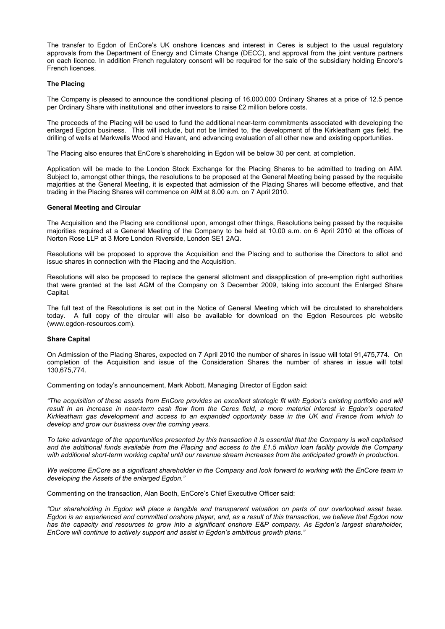The transfer to Egdon of EnCore's UK onshore licences and interest in Ceres is subject to the usual regulatory approvals from the Department of Energy and Climate Change (DECC), and approval from the joint venture partners on each licence. In addition French regulatory consent will be required for the sale of the subsidiary holding Encore's French licences.

## **The Placing**

The Company is pleased to announce the conditional placing of 16,000,000 Ordinary Shares at a price of 12.5 pence per Ordinary Share with institutional and other investors to raise £2 million before costs.

The proceeds of the Placing will be used to fund the additional near-term commitments associated with developing the enlarged Egdon business. This will include, but not be limited to, the development of the Kirkleatham gas field, the drilling of wells at Markwells Wood and Havant, and advancing evaluation of all other new and existing opportunities.

The Placing also ensures that EnCore's shareholding in Egdon will be below 30 per cent. at completion.

Application will be made to the London Stock Exchange for the Placing Shares to be admitted to trading on AIM. Subject to, amongst other things, the resolutions to be proposed at the General Meeting being passed by the requisite majorities at the General Meeting, it is expected that admission of the Placing Shares will become effective, and that trading in the Placing Shares will commence on AIM at 8.00 a.m. on 7 April 2010.

# **General Meeting and Circular**

The Acquisition and the Placing are conditional upon, amongst other things, Resolutions being passed by the requisite majorities required at a General Meeting of the Company to be held at 10.00 a.m. on 6 April 2010 at the offices of Norton Rose LLP at 3 More London Riverside, London SE1 2AQ.

Resolutions will be proposed to approve the Acquisition and the Placing and to authorise the Directors to allot and issue shares in connection with the Placing and the Acquisition.

Resolutions will also be proposed to replace the general allotment and disapplication of pre-emption right authorities that were granted at the last AGM of the Company on 3 December 2009, taking into account the Enlarged Share Capital.

The full text of the Resolutions is set out in the Notice of General Meeting which will be circulated to shareholders today. A full copy of the circular will also be available for download on the Egdon Resources plc website (www.egdon-resources.com).

## **Share Capital**

On Admission of the Placing Shares, expected on 7 April 2010 the number of shares in issue will total 91,475,774. On completion of the Acquisition and issue of the Consideration Shares the number of shares in issue will total 130,675,774.

Commenting on today's announcement, Mark Abbott, Managing Director of Egdon said:

*"The acquisition of these assets from EnCore provides an excellent strategic fit with Egdon's existing portfolio and will result in an increase in near-term cash flow from the Ceres field, a more material interest in Egdon's operated Kirkleatham gas development and access to an expanded opportunity base in the UK and France from which to develop and grow our business over the coming years.* 

*To take advantage of the opportunities presented by this transaction it is essential that the Company is well capitalised and the additional funds available from the Placing and access to the £1.5 million loan facility provide the Company with additional short-term working capital until our revenue stream increases from the anticipated growth in production.* 

We welcome EnCore as a significant shareholder in the Company and look forward to working with the EnCore team in *developing the Assets of the enlarged Egdon."* 

Commenting on the transaction, Alan Booth, EnCore's Chief Executive Officer said:

*"Our shareholding in Egdon will place a tangible and transparent valuation on parts of our overlooked asset base. Egdon is an experienced and committed onshore player, and, as a result of this transaction, we believe that Egdon now*  has the capacity and resources to grow into a significant onshore E&P company. As Egdon's largest shareholder, *EnCore will continue to actively support and assist in Egdon's ambitious growth plans."*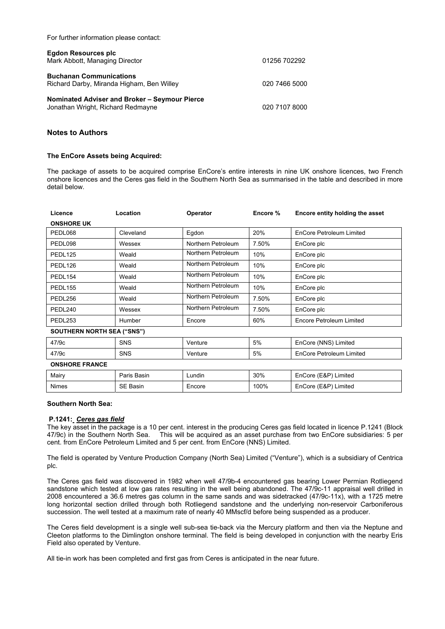|  |  |  | For further information please contact: |  |  |
|--|--|--|-----------------------------------------|--|--|
|--|--|--|-----------------------------------------|--|--|

| Egdon Resources plc<br>Mark Abbott, Managing Director                              | 01256 702292  |
|------------------------------------------------------------------------------------|---------------|
| <b>Buchanan Communications</b><br>Richard Darby, Miranda Higham, Ben Willey        | 020 7466 5000 |
| Nominated Adviser and Broker - Seymour Pierce<br>Jonathan Wright, Richard Redmayne | 020 7107 8000 |

# **Notes to Authors**

### **The EnCore Assets being Acquired:**

The package of assets to be acquired comprise EnCore's entire interests in nine UK onshore licences, two French onshore licences and the Ceres gas field in the Southern North Sea as summarised in the table and described in more detail below.

| Licence                           | Location   | Operator           | Encore % | Encore entity holding the asset |  |  |  |  |
|-----------------------------------|------------|--------------------|----------|---------------------------------|--|--|--|--|
| <b>ONSHORE UK</b>                 |            |                    |          |                                 |  |  |  |  |
| PEDL068                           | Cleveland  | Egdon              | 20%      | EnCore Petroleum Limited        |  |  |  |  |
| PEDL098                           | Wessex     | Northern Petroleum | 7.50%    | EnCore plc                      |  |  |  |  |
| PEDL <sub>125</sub>               | Weald      | Northern Petroleum | 10%      | EnCore plc                      |  |  |  |  |
| PEDL <sub>126</sub>               | Weald      | Northern Petroleum | 10%      | EnCore plc                      |  |  |  |  |
| PEDL <sub>154</sub>               | Weald      | Northern Petroleum | 10%      | EnCore plc                      |  |  |  |  |
| PEDL <sub>155</sub>               | Weald      | Northern Petroleum | 10%      | EnCore plc                      |  |  |  |  |
| PEDL256                           | Weald      | Northern Petroleum | 7.50%    | EnCore plc                      |  |  |  |  |
| PEDL240                           | Wessex     | Northern Petroleum | 7.50%    | EnCore plc                      |  |  |  |  |
| PEDL253                           | Humber     | Encore             | 60%      | Encore Petroleum Limited        |  |  |  |  |
| <b>SOUTHERN NORTH SEA ("SNS")</b> |            |                    |          |                                 |  |  |  |  |
| 47/9c                             | <b>SNS</b> | Venture            | 5%       | EnCore (NNS) Limited            |  |  |  |  |
| 47/9c                             | <b>SNS</b> | Venture            | 5%       | EnCore Petroleum Limited        |  |  |  |  |
| <b>ONSHORE FRANCE</b>             |            |                    |          |                                 |  |  |  |  |

#### **Southern North Sea:**

# **P.1241:** *Ceres gas field*

The key asset in the package is a 10 per cent. interest in the producing Ceres gas field located in licence P.1241 (Block 47/9c) in the Southern North Sea. This will be acquired as an asset purchase from two EnCore subsidiaries: 5 per cent. from EnCore Petroleum Limited and 5 per cent. from EnCore (NNS) Limited.

Mairy Paris Basin Lundin 30% EnCore (E&P) Limited Nimes SE Basin Recore 100% Encore E&P) Limited

The field is operated by Venture Production Company (North Sea) Limited ("Venture"), which is a subsidiary of Centrica plc.

The Ceres gas field was discovered in 1982 when well 47/9b-4 encountered gas bearing Lower Permian Rotliegend sandstone which tested at low gas rates resulting in the well being abandoned. The 47/9c-11 appraisal well drilled in 2008 encountered a 36.6 metres gas column in the same sands and was sidetracked (47/9c-11x), with a 1725 metre long horizontal section drilled through both Rotliegend sandstone and the underlying non-reservoir Carboniferous succession. The well tested at a maximum rate of nearly 40 MMscf/d before being suspended as a producer.

The Ceres field development is a single well sub-sea tie-back via the Mercury platform and then via the Neptune and Cleeton platforms to the Dimlington onshore terminal. The field is being developed in conjunction with the nearby Eris Field also operated by Venture.

All tie-in work has been completed and first gas from Ceres is anticipated in the near future.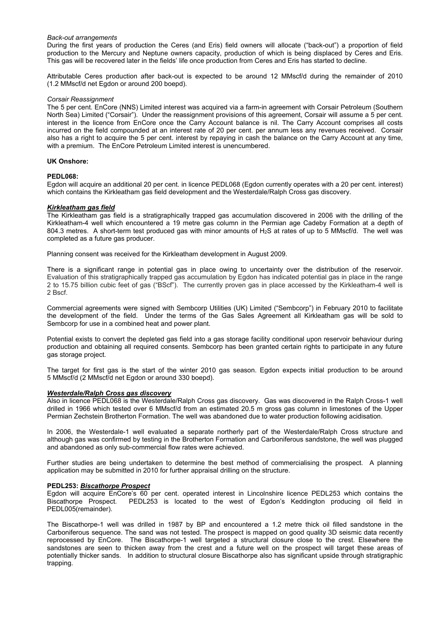## *Back-out arrangements*

During the first years of production the Ceres (and Eris) field owners will allocate ("back-out") a proportion of field production to the Mercury and Neptune owners capacity, production of which is being displaced by Ceres and Eris. This gas will be recovered later in the fields' life once production from Ceres and Eris has started to decline.

Attributable Ceres production after back-out is expected to be around 12 MMscf/d during the remainder of 2010 (1.2 MMscf/d net Egdon or around 200 boepd).

#### *Corsair Reassignment*

The 5 per cent. EnCore (NNS) Limited interest was acquired via a farm-in agreement with Corsair Petroleum (Southern North Sea) Limited ("Corsair"). Under the reassignment provisions of this agreement, Corsair will assume a 5 per cent. interest in the licence from EnCore once the Carry Account balance is nil. The Carry Account comprises all costs incurred on the field compounded at an interest rate of 20 per cent. per annum less any revenues received. Corsair also has a right to acquire the 5 per cent. interest by repaying in cash the balance on the Carry Account at any time, with a premium. The EnCore Petroleum Limited interest is unencumbered.

#### **UK Onshore:**

## **PEDL068:**

Egdon will acquire an additional 20 per cent. in licence PEDL068 (Egdon currently operates with a 20 per cent. interest) which contains the Kirkleatham gas field development and the Westerdale/Ralph Cross gas discovery.

# *Kirkleatham gas field*

The Kirkleatham gas field is a stratigraphically trapped gas accumulation discovered in 2006 with the drilling of the Kirkleatham-4 well which encountered a 19 metre gas column in the Permian age Cadeby Formation at a depth of 804.3 metres. A short-term test produced gas with minor amounts of H2S at rates of up to 5 MMscf/d. The well was completed as a future gas producer.

Planning consent was received for the Kirkleatham development in August 2009.

There is a significant range in potential gas in place owing to uncertainty over the distribution of the reservoir. Evaluation of this stratigraphically trapped gas accumulation by Egdon has indicated potential gas in place in the range 2 to 15.75 billion cubic feet of gas ("BScf"). The currently proven gas in place accessed by the Kirkleatham-4 well is 2 Bscf.

Commercial agreements were signed with Sembcorp Utilities (UK) Limited ("Sembcorp") in February 2010 to facilitate the development of the field. Under the terms of the Gas Sales Agreement all Kirkleatham gas will be sold to Sembcorp for use in a combined heat and power plant.

Potential exists to convert the depleted gas field into a gas storage facility conditional upon reservoir behaviour during production and obtaining all required consents. Sembcorp has been granted certain rights to participate in any future gas storage project.

The target for first gas is the start of the winter 2010 gas season. Egdon expects initial production to be around 5 MMscf/d (2 MMscf/d net Egdon or around 330 boepd).

### *Westerdale/Ralph Cross gas discovery*

Also in licence PEDL068 is the Westerdale/Ralph Cross gas discovery. Gas was discovered in the Ralph Cross-1 well drilled in 1966 which tested over 6 MMscf/d from an estimated 20.5 m gross gas column in limestones of the Upper Permian Zechstein Brotherton Formation. The well was abandoned due to water production following acidisation.

In 2006, the Westerdale-1 well evaluated a separate northerly part of the Westerdale/Ralph Cross structure and although gas was confirmed by testing in the Brotherton Formation and Carboniferous sandstone, the well was plugged and abandoned as only sub-commercial flow rates were achieved.

Further studies are being undertaken to determine the best method of commercialising the prospect. A planning application may be submitted in 2010 for further appraisal drilling on the structure.

## **PEDL253:** *Biscathorpe Prospect*

Egdon will acquire EnCore's 60 per cent. operated interest in Lincolnshire licence PEDL253 which contains the Biscathorpe Prospect. PEDL253 is located to the west of Egdon's Keddington producing oil field in PEDL005(remainder).

The Biscathorpe-1 well was drilled in 1987 by BP and encountered a 1.2 metre thick oil filled sandstone in the Carboniferous sequence. The sand was not tested. The prospect is mapped on good quality 3D seismic data recently reprocessed by EnCore. The Biscathorpe-1 well targeted a structural closure close to the crest. Elsewhere the sandstones are seen to thicken away from the crest and a future well on the prospect will target these areas of potentially thicker sands. In addition to structural closure Biscathorpe also has significant upside through stratigraphic trapping.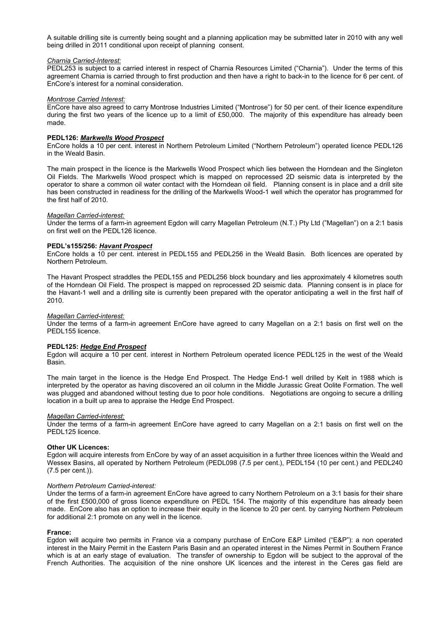A suitable drilling site is currently being sought and a planning application may be submitted later in 2010 with any well being drilled in 2011 conditional upon receipt of planning consent.

#### *Charnia Carried-Interest:*

PEDL253 is subject to a carried interest in respect of Charnia Resources Limited ("Charnia"). Under the terms of this agreement Charnia is carried through to first production and then have a right to back-in to the licence for 6 per cent. of EnCore's interest for a nominal consideration.

## *Montrose Carried Interest:*

EnCore have also agreed to carry Montrose Industries Limited ("Montrose") for 50 per cent. of their licence expenditure during the first two years of the licence up to a limit of £50,000. The majority of this expenditure has already been made.

### **PEDL126:** *Markwells Wood Prospect*

EnCore holds a 10 per cent. interest in Northern Petroleum Limited ("Northern Petroleum") operated licence PEDL126 in the Weald Basin.

The main prospect in the licence is the Markwells Wood Prospect which lies between the Horndean and the Singleton Oil Fields. The Markwells Wood prospect which is mapped on reprocessed 2D seismic data is interpreted by the operator to share a common oil water contact with the Horndean oil field. Planning consent is in place and a drill site has been constructed in readiness for the drilling of the Markwells Wood-1 well which the operator has programmed for the first half of 2010.

#### *Magellan Carried-interest:*

Under the terms of a farm-in agreement Egdon will carry Magellan Petroleum (N.T.) Pty Ltd ("Magellan") on a 2:1 basis on first well on the PEDL126 licence.

# **PEDL's155/256:** *Havant Prospect*

EnCore holds a 10 per cent. interest in PEDL155 and PEDL256 in the Weald Basin. Both licences are operated by Northern Petroleum.

The Havant Prospect straddles the PEDL155 and PEDL256 block boundary and lies approximately 4 kilometres south of the Horndean Oil Field. The prospect is mapped on reprocessed 2D seismic data. Planning consent is in place for the Havant-1 well and a drilling site is currently been prepared with the operator anticipating a well in the first half of 2010.

#### *Magellan Carried-interest:*

Under the terms of a farm-in agreement EnCore have agreed to carry Magellan on a 2:1 basis on first well on the PEDL155 licence.

## **PEDL125:** *Hedge End Prospect*

Egdon will acquire a 10 per cent. interest in Northern Petroleum operated licence PEDL125 in the west of the Weald Basin.

The main target in the licence is the Hedge End Prospect. The Hedge End-1 well drilled by Kelt in 1988 which is interpreted by the operator as having discovered an oil column in the Middle Jurassic Great Oolite Formation. The well was plugged and abandoned without testing due to poor hole conditions. Negotiations are ongoing to secure a drilling location in a built up area to appraise the Hedge End Prospect.

#### *Magellan Carried-interest:*

Under the terms of a farm-in agreement EnCore have agreed to carry Magellan on a 2:1 basis on first well on the PEDL125 licence.

#### **Other UK Licences:**

Egdon will acquire interests from EnCore by way of an asset acquisition in a further three licences within the Weald and Wessex Basins, all operated by Northern Petroleum (PEDL098 (7.5 per cent.), PEDL154 (10 per cent.) and PEDL240 (7.5 per cent.)).

## *Northern Petroleum Carried-interest:*

Under the terms of a farm-in agreement EnCore have agreed to carry Northern Petroleum on a 3:1 basis for their share of the first £500,000 of gross licence expenditure on PEDL 154. The majority of this expenditure has already been made. EnCore also has an option to increase their equity in the licence to 20 per cent. by carrying Northern Petroleum for additional 2:1 promote on any well in the licence.

#### **France:**

Egdon will acquire two permits in France via a company purchase of EnCore E&P Limited ("E&P"): a non operated interest in the Mairy Permit in the Eastern Paris Basin and an operated interest in the Nimes Permit in Southern France which is at an early stage of evaluation. The transfer of ownership to Egdon will be subject to the approval of the French Authorities. The acquisition of the nine onshore UK licences and the interest in the Ceres gas field are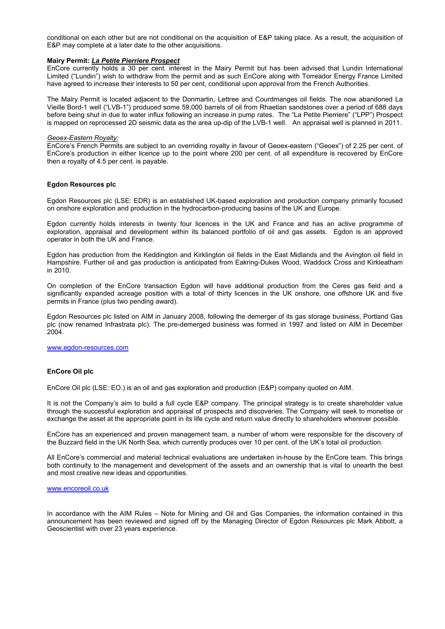conditional on each other but are not conditional on the acquisition of E&P taking place. As a result, the acquisition of E&P may complete at a later date to the other acquisitions.

#### **Mairy Permit:** *La Petite Pierriere Prospect*

EnCore currently holds a 30 per cent. interest in the Mairy Permit but has been advised that Lundin International Limited ("Lundin") wish to withdraw from the permit and as such EnCore along with Torreador Energy France Limited have agreed to increase their interests to 50 per cent, conditional upon approval from the French Authorities.

The Mairy Permit is located adjacent to the Donmartin, Lettree and Courdmanges oil fields. The now abandoned La Vieille Bord-1 well ("LVB-1") produced some 59,000 barrels of oil from Rhaetian sandstones over a period of 688 days before being shut in due to water influx following an increase in pump rates. The "La Petite Pierriere" ("LPP") Prospect is mapped on reprocessed 2D seismic data as the area up-dip of the LVB-1 well. An appraisal well is planned in 2011.

#### *Geoex-Eastern Royalty:*

EnCore's French Permits are subject to an overriding royalty in favour of Geoex-eastern ("Geoex") of 2.25 per cent. of EnCore's production in either licence up to the point where 200 per cent. of all expenditure is recovered by EnCore then a royalty of 4.5 per cent. is payable.

#### **Egdon Resources plc**

Egdon Resources plc (LSE: EDR) is an established UK-based exploration and production company primarily focused on onshore exploration and production in the hydrocarbon-producing basins of the UK and Europe.

Egdon currently holds interests in twenty four licences in the UK and France and has an active programme of exploration, appraisal and development within its balanced portfolio of oil and gas assets. Egdon is an approved operator in both the UK and France.

Egdon has production from the Keddington and Kirklington oil fields in the East Midlands and the Avington oil field in Hampshire. Further oil and gas production is anticipated from Eakring-Dukes Wood, Waddock Cross and Kirkleatham in 2010.

On completion of the EnCore transaction Egdon will have additional production from the Ceres gas field and a significantly expanded acreage position with a total of thirty licences in the UK onshore, one offshore UK and five permits in France (plus two pending award).

Egdon Resources plc listed on AIM in January 2008, following the demerger of its gas storage business, Portland Gas plc (now renamed Infrastrata plc). The pre-demerged business was formed in 1997 and listed on AIM in December 2004.

www.egdon-resources.com

# **EnCore Oil plc**

EnCore Oil plc (LSE: EO.) is an oil and gas exploration and production (E&P) company quoted on AIM.

It is not the Company's aim to build a full cycle E&P company. The principal strategy is to create shareholder value through the successful exploration and appraisal of prospects and discoveries. The Company will seek to monetise or exchange the asset at the appropriate point in its life cycle and return value directly to shareholders wherever possible.

EnCore has an experienced and proven management team, a number of whom were responsible for the discovery of the Buzzard field in the UK North Sea, which currently produces over 10 per cent. of the UK's total oil production.

All EnCore's commercial and material technical evaluations are undertaken in-house by the EnCore team. This brings both continuity to the management and development of the assets and an ownership that is vital to unearth the best and most creative new ideas and opportunities.

#### www.encoreoil.co.uk

In accordance with the AIM Rules – Note for Mining and Oil and Gas Companies, the information contained in this announcement has been reviewed and signed off by the Managing Director of Egdon Resources plc Mark Abbott, a Geoscientist with over 23 years experience.